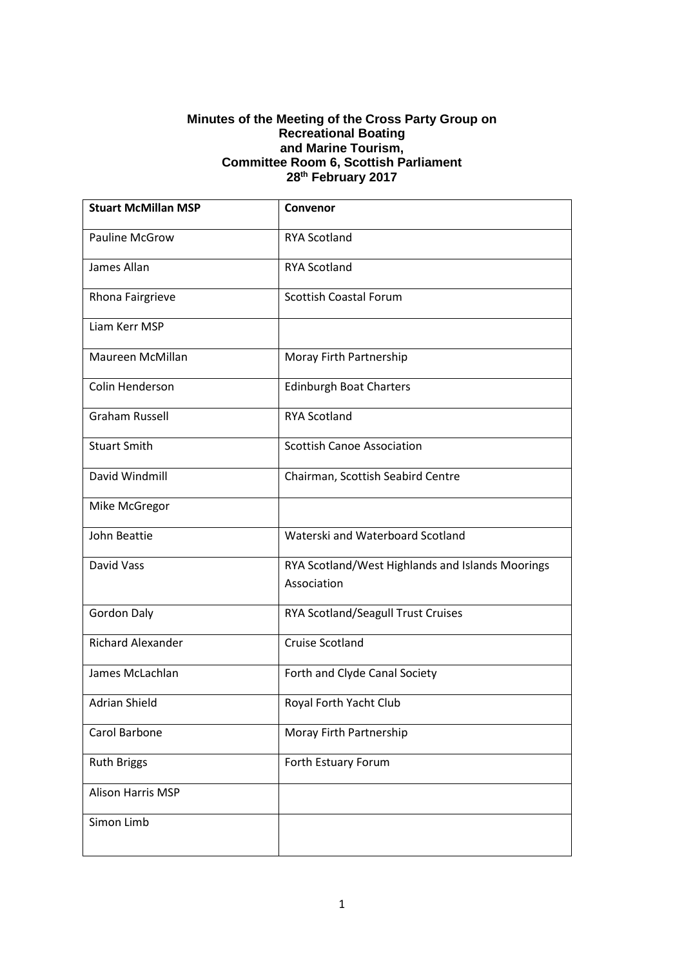#### **Minutes of the Meeting of the Cross Party Group on Recreational Boating and Marine Tourism, Committee Room 6, Scottish Parliament 28th February 2017**

| <b>Stuart McMillan MSP</b> | Convenor                                                        |
|----------------------------|-----------------------------------------------------------------|
| <b>Pauline McGrow</b>      | <b>RYA Scotland</b>                                             |
| James Allan                | <b>RYA Scotland</b>                                             |
| Rhona Fairgrieve           | <b>Scottish Coastal Forum</b>                                   |
| Liam Kerr MSP              |                                                                 |
| Maureen McMillan           | Moray Firth Partnership                                         |
| Colin Henderson            | <b>Edinburgh Boat Charters</b>                                  |
| <b>Graham Russell</b>      | <b>RYA Scotland</b>                                             |
| <b>Stuart Smith</b>        | <b>Scottish Canoe Association</b>                               |
| David Windmill             | Chairman, Scottish Seabird Centre                               |
| Mike McGregor              |                                                                 |
| John Beattie               | Waterski and Waterboard Scotland                                |
| David Vass                 | RYA Scotland/West Highlands and Islands Moorings<br>Association |
| <b>Gordon Daly</b>         | RYA Scotland/Seagull Trust Cruises                              |
| <b>Richard Alexander</b>   | <b>Cruise Scotland</b>                                          |
| James McLachlan            | Forth and Clyde Canal Society                                   |
| <b>Adrian Shield</b>       | Royal Forth Yacht Club                                          |
| Carol Barbone              | Moray Firth Partnership                                         |
| <b>Ruth Briggs</b>         | Forth Estuary Forum                                             |
| Alison Harris MSP          |                                                                 |
| Simon Limb                 |                                                                 |
|                            |                                                                 |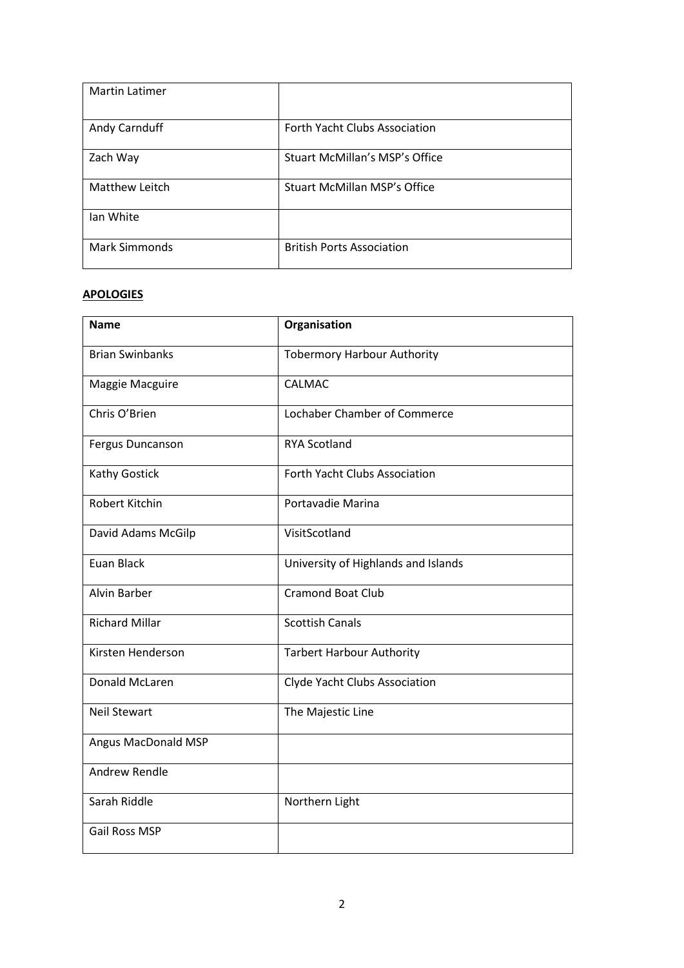| <b>Martin Latimer</b> |                                       |
|-----------------------|---------------------------------------|
| Andy Carnduff         | <b>Forth Yacht Clubs Association</b>  |
| Zach Way              | <b>Stuart McMillan's MSP's Office</b> |
| Matthew Leitch        | <b>Stuart McMillan MSP's Office</b>   |
| lan White             |                                       |
| <b>Mark Simmonds</b>  | <b>British Ports Association</b>      |

### **APOLOGIES**

| <b>Name</b>            | Organisation                        |
|------------------------|-------------------------------------|
| <b>Brian Swinbanks</b> | <b>Tobermory Harbour Authority</b>  |
| Maggie Macguire        | CALMAC                              |
| Chris O'Brien          | Lochaber Chamber of Commerce        |
| Fergus Duncanson       | <b>RYA Scotland</b>                 |
| Kathy Gostick          | Forth Yacht Clubs Association       |
| <b>Robert Kitchin</b>  | Portavadie Marina                   |
| David Adams McGilp     | VisitScotland                       |
| Euan Black             | University of Highlands and Islands |
| <b>Alvin Barber</b>    | <b>Cramond Boat Club</b>            |
| <b>Richard Millar</b>  | <b>Scottish Canals</b>              |
| Kirsten Henderson      | <b>Tarbert Harbour Authority</b>    |
| Donald McLaren         | Clyde Yacht Clubs Association       |
| <b>Neil Stewart</b>    | The Majestic Line                   |
| Angus MacDonald MSP    |                                     |
| <b>Andrew Rendle</b>   |                                     |
| Sarah Riddle           | Northern Light                      |
| <b>Gail Ross MSP</b>   |                                     |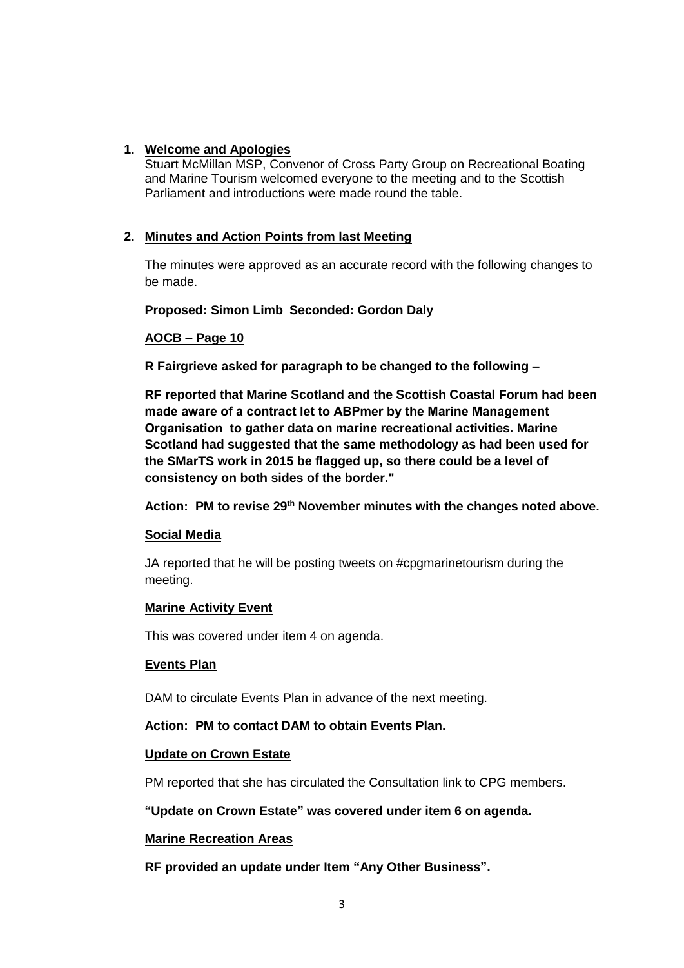### **1. Welcome and Apologies**

Stuart McMillan MSP, Convenor of Cross Party Group on Recreational Boating and Marine Tourism welcomed everyone to the meeting and to the Scottish Parliament and introductions were made round the table.

### **2. Minutes and Action Points from last Meeting**

The minutes were approved as an accurate record with the following changes to be made.

**Proposed: Simon Limb Seconded: Gordon Daly**

### **AOCB – Page 10**

**R Fairgrieve asked for paragraph to be changed to the following –**

**RF reported that Marine Scotland and the Scottish Coastal Forum had been made aware of a contract let to ABPmer by the Marine Management Organisation to gather data on marine recreational activities. Marine Scotland had suggested that the same methodology as had been used for the SMarTS work in 2015 be flagged up, so there could be a level of consistency on both sides of the border."**

**Action: PM to revise 29th November minutes with the changes noted above.**

#### **Social Media**

JA reported that he will be posting tweets on #cpgmarinetourism during the meeting.

#### **Marine Activity Event**

This was covered under item 4 on agenda.

### **Events Plan**

DAM to circulate Events Plan in advance of the next meeting.

### **Action: PM to contact DAM to obtain Events Plan.**

### **Update on Crown Estate**

PM reported that she has circulated the Consultation link to CPG members.

### **"Update on Crown Estate" was covered under item 6 on agenda.**

### **Marine Recreation Areas**

**RF provided an update under Item "Any Other Business".**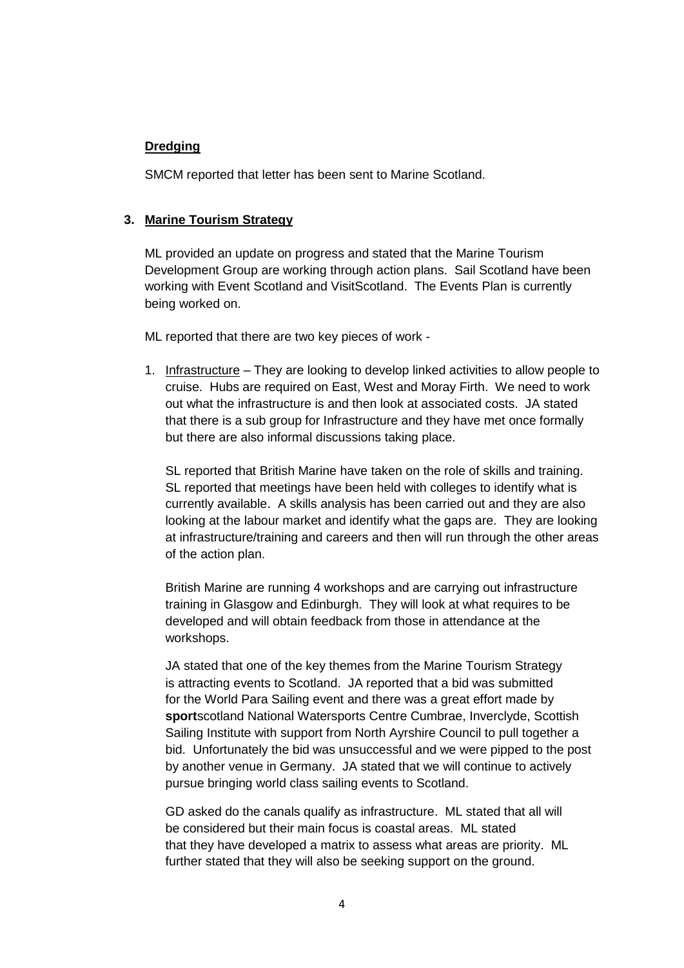## **Dredging**

SMCM reported that letter has been sent to Marine Scotland.

## **3. Marine Tourism Strategy**

ML provided an update on progress and stated that the Marine Tourism Development Group are working through action plans. Sail Scotland have been working with Event Scotland and VisitScotland. The Events Plan is currently being worked on.

ML reported that there are two key pieces of work -

1. Infrastructure – They are looking to develop linked activities to allow people to cruise. Hubs are required on East, West and Moray Firth. We need to work out what the infrastructure is and then look at associated costs. JA stated that there is a sub group for Infrastructure and they have met once formally but there are also informal discussions taking place.

SL reported that British Marine have taken on the role of skills and training. SL reported that meetings have been held with colleges to identify what is currently available. A skills analysis has been carried out and they are also looking at the labour market and identify what the gaps are. They are looking at infrastructure/training and careers and then will run through the other areas of the action plan.

British Marine are running 4 workshops and are carrying out infrastructure training in Glasgow and Edinburgh. They will look at what requires to be developed and will obtain feedback from those in attendance at the workshops.

JA stated that one of the key themes from the Marine Tourism Strategy is attracting events to Scotland. JA reported that a bid was submitted for the World Para Sailing event and there was a great effort made by **sport**scotland National Watersports Centre Cumbrae, Inverclyde, Scottish Sailing Institute with support from North Ayrshire Council to pull together a bid. Unfortunately the bid was unsuccessful and we were pipped to the post by another venue in Germany. JA stated that we will continue to actively pursue bringing world class sailing events to Scotland.

GD asked do the canals qualify as infrastructure. ML stated that all will be considered but their main focus is coastal areas. ML stated that they have developed a matrix to assess what areas are priority. ML further stated that they will also be seeking support on the ground.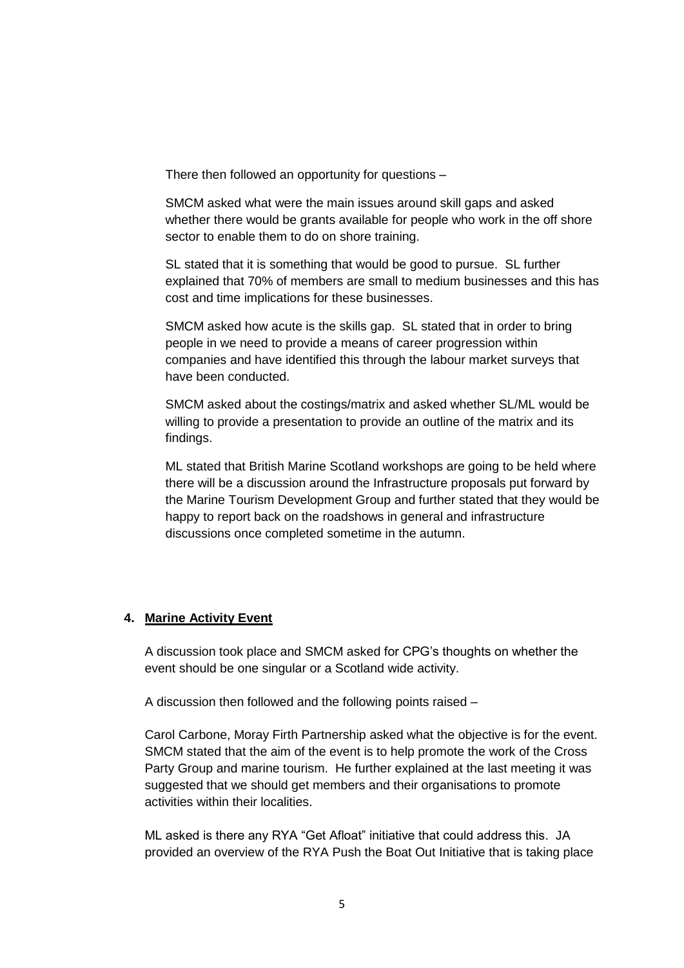There then followed an opportunity for questions –

SMCM asked what were the main issues around skill gaps and asked whether there would be grants available for people who work in the off shore sector to enable them to do on shore training.

SL stated that it is something that would be good to pursue. SL further explained that 70% of members are small to medium businesses and this has cost and time implications for these businesses.

SMCM asked how acute is the skills gap. SL stated that in order to bring people in we need to provide a means of career progression within companies and have identified this through the labour market surveys that have been conducted.

SMCM asked about the costings/matrix and asked whether SL/ML would be willing to provide a presentation to provide an outline of the matrix and its findings.

ML stated that British Marine Scotland workshops are going to be held where there will be a discussion around the Infrastructure proposals put forward by the Marine Tourism Development Group and further stated that they would be happy to report back on the roadshows in general and infrastructure discussions once completed sometime in the autumn.

## **4. Marine Activity Event**

A discussion took place and SMCM asked for CPG's thoughts on whether the event should be one singular or a Scotland wide activity.

A discussion then followed and the following points raised –

Carol Carbone, Moray Firth Partnership asked what the objective is for the event. SMCM stated that the aim of the event is to help promote the work of the Cross Party Group and marine tourism. He further explained at the last meeting it was suggested that we should get members and their organisations to promote activities within their localities.

ML asked is there any RYA "Get Afloat" initiative that could address this. JA provided an overview of the RYA Push the Boat Out Initiative that is taking place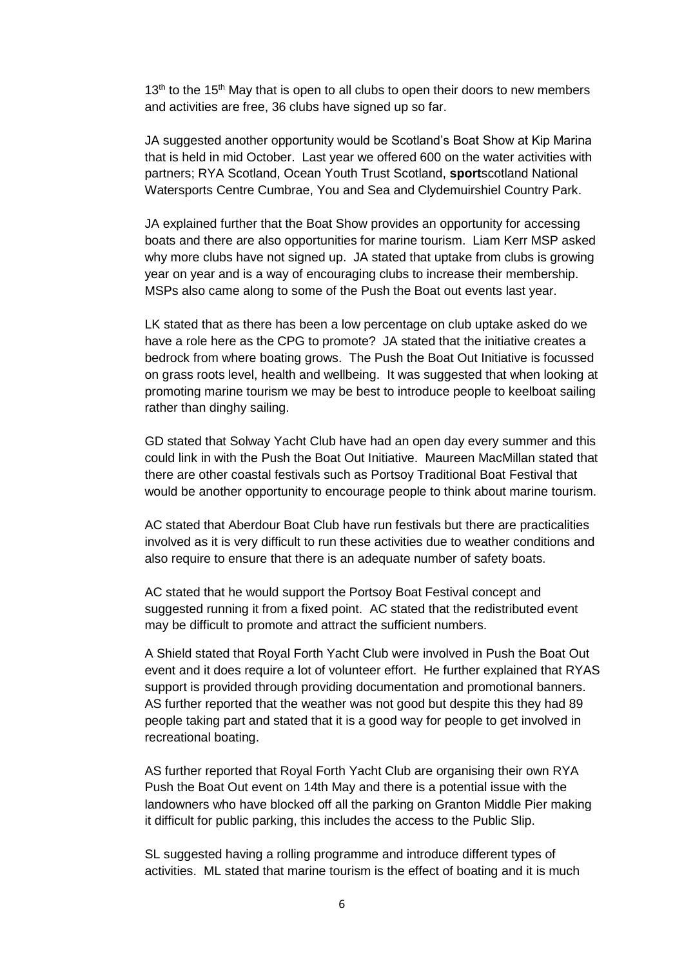$13<sup>th</sup>$  to the  $15<sup>th</sup>$  May that is open to all clubs to open their doors to new members and activities are free, 36 clubs have signed up so far.

JA suggested another opportunity would be Scotland's Boat Show at Kip Marina that is held in mid October. Last year we offered 600 on the water activities with partners; RYA Scotland, Ocean Youth Trust Scotland, **sport**scotland National Watersports Centre Cumbrae, You and Sea and Clydemuirshiel Country Park.

JA explained further that the Boat Show provides an opportunity for accessing boats and there are also opportunities for marine tourism. Liam Kerr MSP asked why more clubs have not signed up. JA stated that uptake from clubs is growing year on year and is a way of encouraging clubs to increase their membership. MSPs also came along to some of the Push the Boat out events last year.

LK stated that as there has been a low percentage on club uptake asked do we have a role here as the CPG to promote? JA stated that the initiative creates a bedrock from where boating grows. The Push the Boat Out Initiative is focussed on grass roots level, health and wellbeing. It was suggested that when looking at promoting marine tourism we may be best to introduce people to keelboat sailing rather than dinghy sailing.

GD stated that Solway Yacht Club have had an open day every summer and this could link in with the Push the Boat Out Initiative. Maureen MacMillan stated that there are other coastal festivals such as Portsoy Traditional Boat Festival that would be another opportunity to encourage people to think about marine tourism.

AC stated that Aberdour Boat Club have run festivals but there are practicalities involved as it is very difficult to run these activities due to weather conditions and also require to ensure that there is an adequate number of safety boats.

AC stated that he would support the Portsoy Boat Festival concept and suggested running it from a fixed point. AC stated that the redistributed event may be difficult to promote and attract the sufficient numbers.

A Shield stated that Royal Forth Yacht Club were involved in Push the Boat Out event and it does require a lot of volunteer effort. He further explained that RYAS support is provided through providing documentation and promotional banners. AS further reported that the weather was not good but despite this they had 89 people taking part and stated that it is a good way for people to get involved in recreational boating.

AS further reported that Royal Forth Yacht Club are organising their own RYA Push the Boat Out event on 14th May and there is a potential issue with the landowners who have blocked off all the parking on Granton Middle Pier making it difficult for public parking, this includes the access to the Public Slip.

SL suggested having a rolling programme and introduce different types of activities. ML stated that marine tourism is the effect of boating and it is much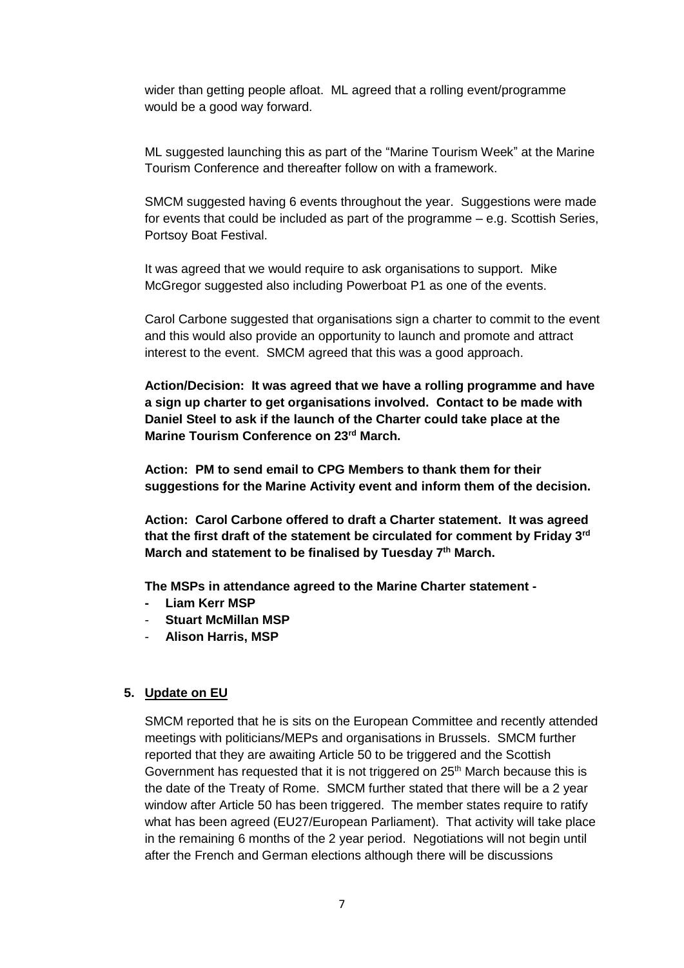wider than getting people afloat. ML agreed that a rolling event/programme would be a good way forward.

ML suggested launching this as part of the "Marine Tourism Week" at the Marine Tourism Conference and thereafter follow on with a framework.

SMCM suggested having 6 events throughout the year. Suggestions were made for events that could be included as part of the programme – e.g. Scottish Series, Portsoy Boat Festival.

It was agreed that we would require to ask organisations to support. Mike McGregor suggested also including Powerboat P1 as one of the events.

Carol Carbone suggested that organisations sign a charter to commit to the event and this would also provide an opportunity to launch and promote and attract interest to the event. SMCM agreed that this was a good approach.

**Action/Decision: It was agreed that we have a rolling programme and have a sign up charter to get organisations involved. Contact to be made with Daniel Steel to ask if the launch of the Charter could take place at the Marine Tourism Conference on 23rd March.** 

**Action: PM to send email to CPG Members to thank them for their suggestions for the Marine Activity event and inform them of the decision.**

**Action: Carol Carbone offered to draft a Charter statement. It was agreed that the first draft of the statement be circulated for comment by Friday 3rd March and statement to be finalised by Tuesday 7th March.**

**The MSPs in attendance agreed to the Marine Charter statement -** 

- **- Liam Kerr MSP**
- **Stuart McMillan MSP**
- **Alison Harris, MSP**

### **5. Update on EU**

SMCM reported that he is sits on the European Committee and recently attended meetings with politicians/MEPs and organisations in Brussels. SMCM further reported that they are awaiting Article 50 to be triggered and the Scottish Government has requested that it is not triggered on  $25<sup>th</sup>$  March because this is the date of the Treaty of Rome. SMCM further stated that there will be a 2 year window after Article 50 has been triggered. The member states require to ratify what has been agreed (EU27/European Parliament). That activity will take place in the remaining 6 months of the 2 year period. Negotiations will not begin until after the French and German elections although there will be discussions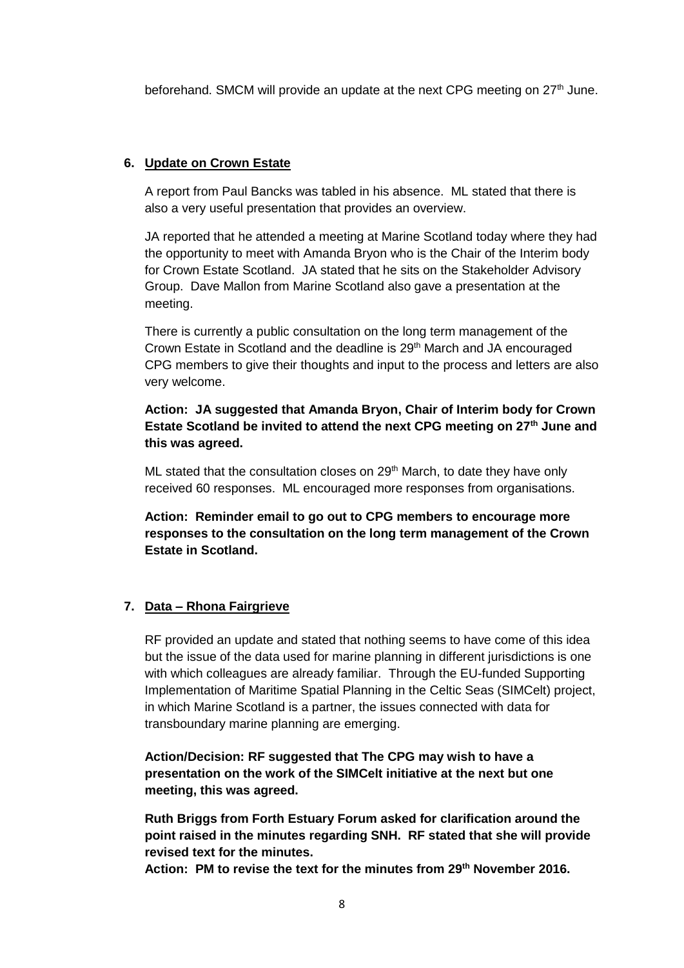beforehand. SMCM will provide an update at the next CPG meeting on 27<sup>th</sup> June.

#### **6. Update on Crown Estate**

A report from Paul Bancks was tabled in his absence. ML stated that there is also a very useful presentation that provides an overview.

JA reported that he attended a meeting at Marine Scotland today where they had the opportunity to meet with Amanda Bryon who is the Chair of the Interim body for Crown Estate Scotland. JA stated that he sits on the Stakeholder Advisory Group. Dave Mallon from Marine Scotland also gave a presentation at the meeting.

There is currently a public consultation on the long term management of the Crown Estate in Scotland and the deadline is 29<sup>th</sup> March and JA encouraged CPG members to give their thoughts and input to the process and letters are also very welcome.

**Action: JA suggested that Amanda Bryon, Chair of Interim body for Crown Estate Scotland be invited to attend the next CPG meeting on 27th June and this was agreed.**

ML stated that the consultation closes on 29<sup>th</sup> March, to date they have only received 60 responses. ML encouraged more responses from organisations.

**Action: Reminder email to go out to CPG members to encourage more responses to the consultation on the long term management of the Crown Estate in Scotland.**

#### **7. Data – Rhona Fairgrieve**

RF provided an update and stated that nothing seems to have come of this idea but the issue of the data used for marine planning in different jurisdictions is one with which colleagues are already familiar. Through the EU-funded Supporting Implementation of Maritime Spatial Planning in the Celtic Seas (SIMCelt) project, in which Marine Scotland is a partner, the issues connected with data for transboundary marine planning are emerging.

**Action/Decision: RF suggested that The CPG may wish to have a presentation on the work of the SIMCelt initiative at the next but one meeting, this was agreed.**

**Ruth Briggs from Forth Estuary Forum asked for clarification around the point raised in the minutes regarding SNH. RF stated that she will provide revised text for the minutes.** 

**Action: PM to revise the text for the minutes from 29th November 2016.**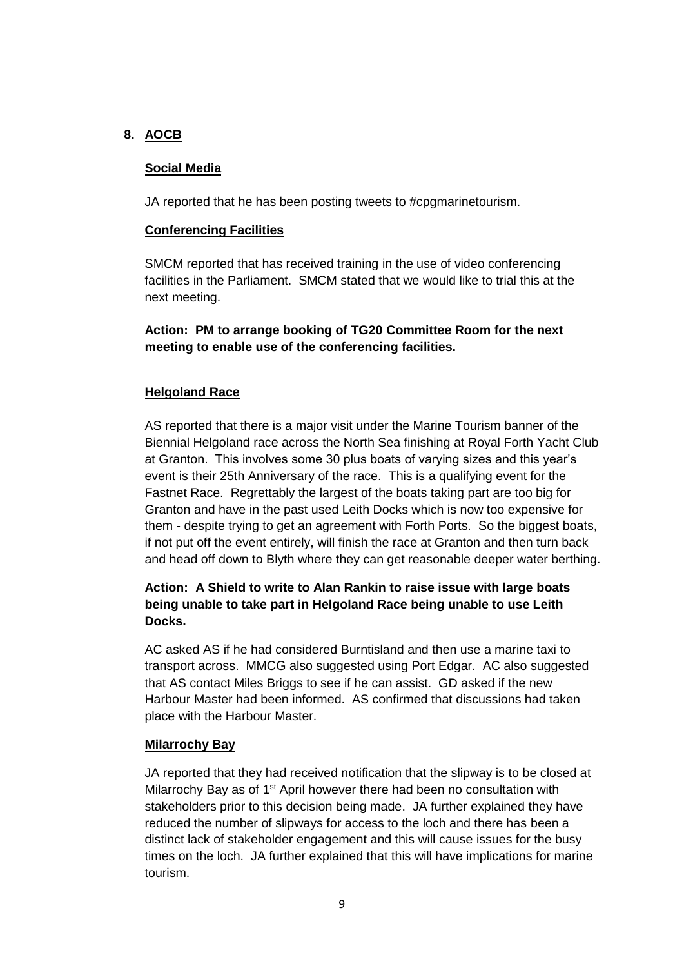### **8. AOCB**

### **Social Media**

JA reported that he has been posting tweets to #cpgmarinetourism.

### **Conferencing Facilities**

SMCM reported that has received training in the use of video conferencing facilities in the Parliament. SMCM stated that we would like to trial this at the next meeting.

**Action: PM to arrange booking of TG20 Committee Room for the next meeting to enable use of the conferencing facilities.**

### **Helgoland Race**

AS reported that there is a major visit under the Marine Tourism banner of the Biennial Helgoland race across the North Sea finishing at Royal Forth Yacht Club at Granton. This involves some 30 plus boats of varying sizes and this year's event is their 25th Anniversary of the race. This is a qualifying event for the Fastnet Race. Regrettably the largest of the boats taking part are too big for Granton and have in the past used Leith Docks which is now too expensive for them - despite trying to get an agreement with Forth Ports. So the biggest boats, if not put off the event entirely, will finish the race at Granton and then turn back and head off down to Blyth where they can get reasonable deeper water berthing.

## **Action: A Shield to write to Alan Rankin to raise issue with large boats being unable to take part in Helgoland Race being unable to use Leith Docks.**

AC asked AS if he had considered Burntisland and then use a marine taxi to transport across. MMCG also suggested using Port Edgar. AC also suggested that AS contact Miles Briggs to see if he can assist. GD asked if the new Harbour Master had been informed. AS confirmed that discussions had taken place with the Harbour Master.

#### **Milarrochy Bay**

JA reported that they had received notification that the slipway is to be closed at Milarrochy Bay as of 1<sup>st</sup> April however there had been no consultation with stakeholders prior to this decision being made. JA further explained they have reduced the number of slipways for access to the loch and there has been a distinct lack of stakeholder engagement and this will cause issues for the busy times on the loch. JA further explained that this will have implications for marine tourism.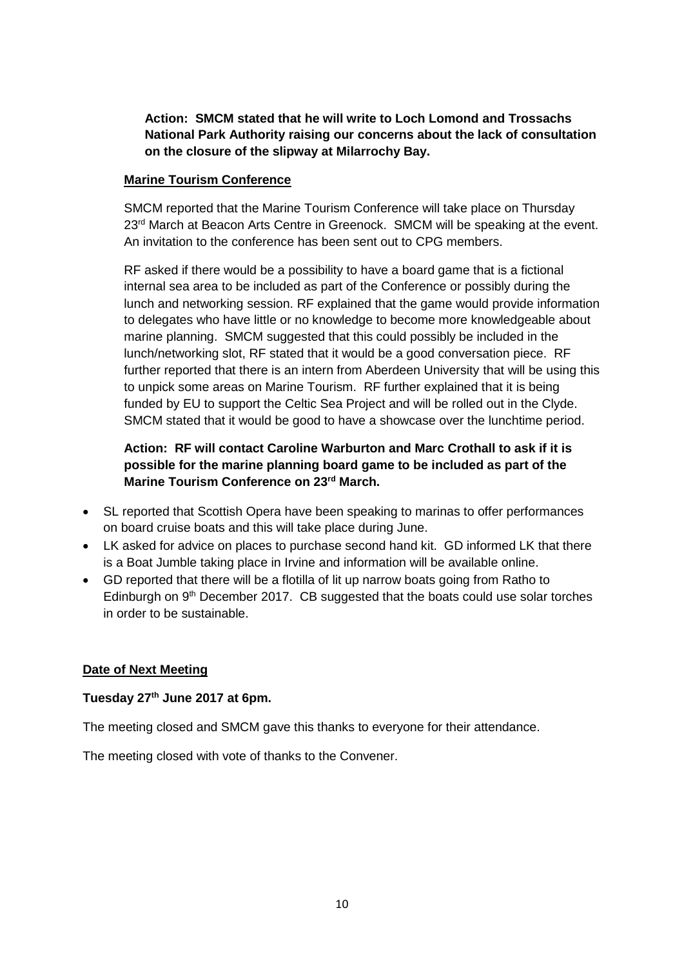**Action: SMCM stated that he will write to Loch Lomond and Trossachs National Park Authority raising our concerns about the lack of consultation on the closure of the slipway at Milarrochy Bay.**

#### **Marine Tourism Conference**

SMCM reported that the Marine Tourism Conference will take place on Thursday 23<sup>rd</sup> March at Beacon Arts Centre in Greenock. SMCM will be speaking at the event. An invitation to the conference has been sent out to CPG members.

RF asked if there would be a possibility to have a board game that is a fictional internal sea area to be included as part of the Conference or possibly during the lunch and networking session. RF explained that the game would provide information to delegates who have little or no knowledge to become more knowledgeable about marine planning. SMCM suggested that this could possibly be included in the lunch/networking slot, RF stated that it would be a good conversation piece. RF further reported that there is an intern from Aberdeen University that will be using this to unpick some areas on Marine Tourism. RF further explained that it is being funded by EU to support the Celtic Sea Project and will be rolled out in the Clyde. SMCM stated that it would be good to have a showcase over the lunchtime period.

## **Action: RF will contact Caroline Warburton and Marc Crothall to ask if it is possible for the marine planning board game to be included as part of the Marine Tourism Conference on 23rd March.**

- SL reported that Scottish Opera have been speaking to marinas to offer performances on board cruise boats and this will take place during June.
- LK asked for advice on places to purchase second hand kit. GD informed LK that there is a Boat Jumble taking place in Irvine and information will be available online.
- GD reported that there will be a flotilla of lit up narrow boats going from Ratho to Edinburgh on  $9<sup>th</sup>$  December 2017. CB suggested that the boats could use solar torches in order to be sustainable.

## **Date of Next Meeting**

### **Tuesday 27th June 2017 at 6pm.**

The meeting closed and SMCM gave this thanks to everyone for their attendance.

The meeting closed with vote of thanks to the Convener.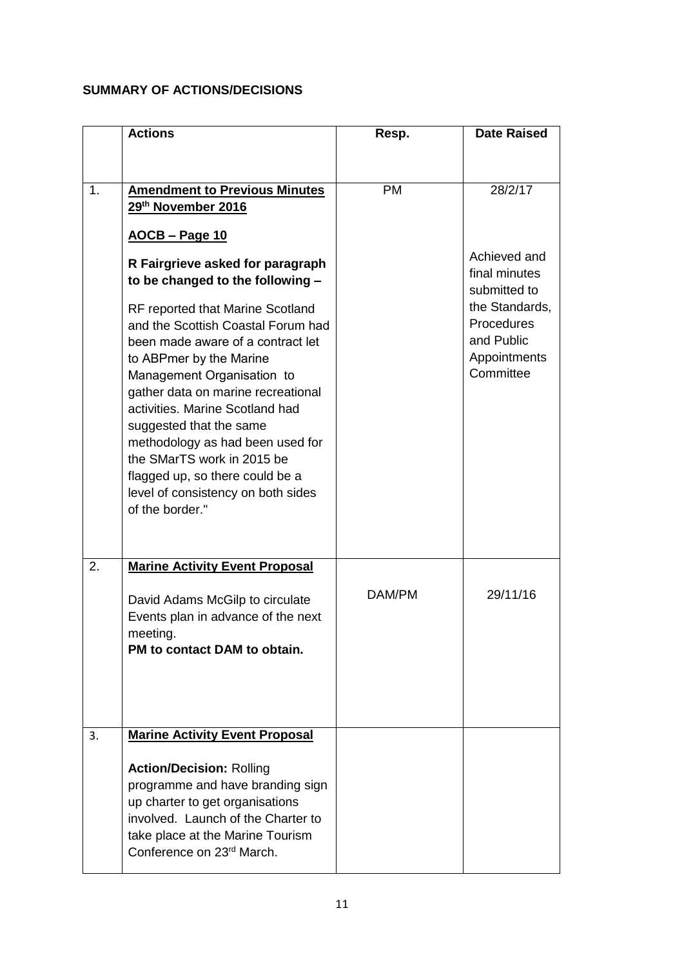# **SUMMARY OF ACTIONS/DECISIONS**

|    | <b>Actions</b>                                                                                                                                                                                                                                                                                                                                                                                                                                                                                                                                                                                        | Resp.     | <b>Date Raised</b>                                                                                                                  |
|----|-------------------------------------------------------------------------------------------------------------------------------------------------------------------------------------------------------------------------------------------------------------------------------------------------------------------------------------------------------------------------------------------------------------------------------------------------------------------------------------------------------------------------------------------------------------------------------------------------------|-----------|-------------------------------------------------------------------------------------------------------------------------------------|
|    |                                                                                                                                                                                                                                                                                                                                                                                                                                                                                                                                                                                                       |           |                                                                                                                                     |
| 1. | <b>Amendment to Previous Minutes</b><br>29th November 2016<br><u>AOCB - Page 10</u><br>R Fairgrieve asked for paragraph<br>to be changed to the following -<br>RF reported that Marine Scotland<br>and the Scottish Coastal Forum had<br>been made aware of a contract let<br>to ABPmer by the Marine<br>Management Organisation to<br>gather data on marine recreational<br>activities. Marine Scotland had<br>suggested that the same<br>methodology as had been used for<br>the SMarTS work in 2015 be<br>flagged up, so there could be a<br>level of consistency on both sides<br>of the border." | <b>PM</b> | 28/2/17<br>Achieved and<br>final minutes<br>submitted to<br>the Standards,<br>Procedures<br>and Public<br>Appointments<br>Committee |
| 2. | <b>Marine Activity Event Proposal</b><br>David Adams McGilp to circulate<br>Events plan in advance of the next<br>meeting.<br>PM to contact DAM to obtain.                                                                                                                                                                                                                                                                                                                                                                                                                                            | DAM/PM    | 29/11/16                                                                                                                            |
| 3. | <b>Marine Activity Event Proposal</b><br><b>Action/Decision: Rolling</b><br>programme and have branding sign<br>up charter to get organisations<br>involved. Launch of the Charter to<br>take place at the Marine Tourism<br>Conference on 23rd March.                                                                                                                                                                                                                                                                                                                                                |           |                                                                                                                                     |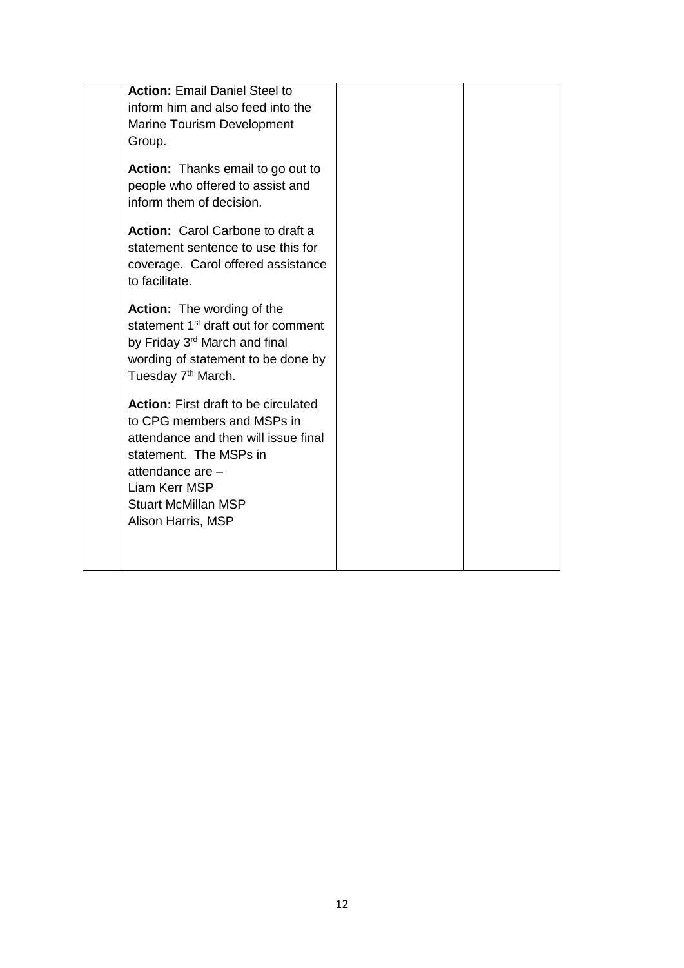| <b>Action: Email Daniel Steel to</b>            |  |
|-------------------------------------------------|--|
| inform him and also feed into the               |  |
| Marine Tourism Development                      |  |
| Group.                                          |  |
|                                                 |  |
| <b>Action:</b> Thanks email to go out to        |  |
| people who offered to assist and                |  |
| inform them of decision.                        |  |
|                                                 |  |
| <b>Action:</b> Carol Carbone to draft a         |  |
| statement sentence to use this for              |  |
| coverage. Carol offered assistance              |  |
| to facilitate.                                  |  |
| <b>Action:</b> The wording of the               |  |
| statement 1 <sup>st</sup> draft out for comment |  |
| by Friday 3 <sup>rd</sup> March and final       |  |
| wording of statement to be done by              |  |
| Tuesday 7 <sup>th</sup> March.                  |  |
|                                                 |  |
| <b>Action:</b> First draft to be circulated     |  |
| to CPG members and MSPs in                      |  |
| attendance and then will issue final            |  |
| statement. The MSPs in                          |  |
| attendance are -                                |  |
| Liam Kerr MSP                                   |  |
| <b>Stuart McMillan MSP</b>                      |  |
| Alison Harris, MSP                              |  |
|                                                 |  |
|                                                 |  |
|                                                 |  |